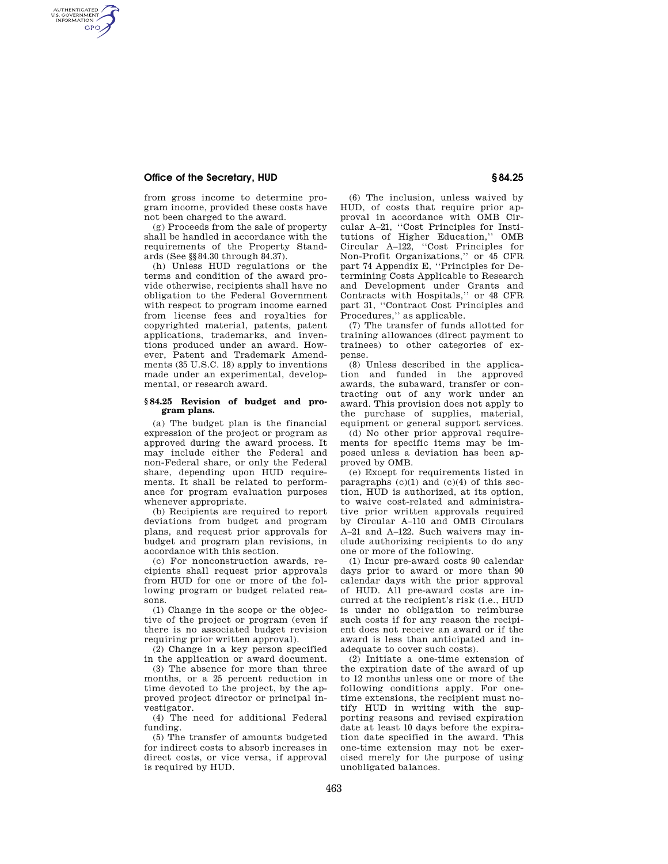## **Office of the Secretary, HUD § 84.25**

AUTHENTICATED<br>U.S. GOVERNMENT<br>INFORMATION **GPO** 

> from gross income to determine program income, provided these costs have not been charged to the award.

> (g) Proceeds from the sale of property shall be handled in accordance with the requirements of the Property Standards (See §§84.30 through 84.37).

(h) Unless HUD regulations or the terms and condition of the award provide otherwise, recipients shall have no obligation to the Federal Government with respect to program income earned from license fees and royalties for copyrighted material, patents, patent applications, trademarks, and inventions produced under an award. However, Patent and Trademark Amendments (35 U.S.C. 18) apply to inventions made under an experimental, developmental, or research award.

## **§ 84.25 Revision of budget and program plans.**

(a) The budget plan is the financial expression of the project or program as approved during the award process. It may include either the Federal and non-Federal share, or only the Federal share, depending upon HUD requirements. It shall be related to performance for program evaluation purposes whenever appropriate

(b) Recipients are required to report deviations from budget and program plans, and request prior approvals for budget and program plan revisions, in accordance with this section.

(c) For nonconstruction awards, recipients shall request prior approvals from HUD for one or more of the following program or budget related reasons.

(1) Change in the scope or the objective of the project or program (even if there is no associated budget revision requiring prior written approval).

(2) Change in a key person specified in the application or award document.

(3) The absence for more than three months, or a 25 percent reduction in time devoted to the project, by the approved project director or principal investigator.

(4) The need for additional Federal funding.

(5) The transfer of amounts budgeted for indirect costs to absorb increases in direct costs, or vice versa, if approval is required by HUD.

(6) The inclusion, unless waived by HUD, of costs that require prior approval in accordance with OMB Circular A–21, ''Cost Principles for Institutions of Higher Education,'' OMB Circular A–122, ''Cost Principles for Non-Profit Organizations,'' or 45 CFR part 74 Appendix E, ''Principles for Determining Costs Applicable to Research and Development under Grants and Contracts with Hospitals,'' or 48 CFR part 31, ''Contract Cost Principles and Procedures,'' as applicable.

(7) The transfer of funds allotted for training allowances (direct payment to trainees) to other categories of expense.

(8) Unless described in the application and funded in the approved awards, the subaward, transfer or contracting out of any work under an award. This provision does not apply to the purchase of supplies, material, equipment or general support services.

(d) No other prior approval requirements for specific items may be imposed unless a deviation has been approved by OMB.

(e) Except for requirements listed in paragraphs  $(c)(1)$  and  $(c)(4)$  of this section, HUD is authorized, at its option, to waive cost-related and administrative prior written approvals required by Circular A–110 and OMB Circulars A–21 and A–122. Such waivers may include authorizing recipients to do any one or more of the following.

(1) Incur pre-award costs 90 calendar days prior to award or more than 90 calendar days with the prior approval of HUD. All pre-award costs are incurred at the recipient's risk (i.e., HUD is under no obligation to reimburse such costs if for any reason the recipient does not receive an award or if the award is less than anticipated and inadequate to cover such costs).

(2) Initiate a one-time extension of the expiration date of the award of up to 12 months unless one or more of the following conditions apply. For onetime extensions, the recipient must notify HUD in writing with the supporting reasons and revised expiration date at least 10 days before the expiration date specified in the award. This one-time extension may not be exercised merely for the purpose of using unobligated balances.